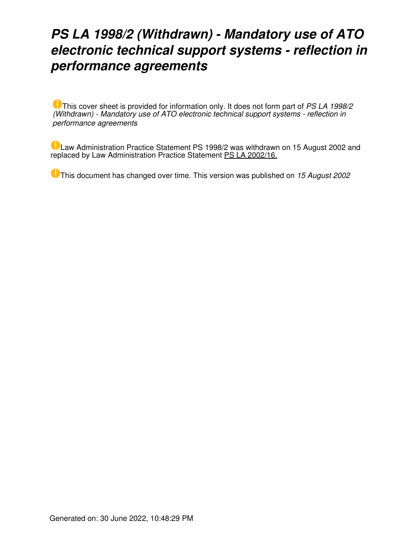# *PS LA 1998/2 (Withdrawn) - Mandatory use of ATO electronic technical support systems - reflection in performance agreements*

This cover sheet is provided for information only. It does not form part of *PS LA 1998/2 (Withdrawn) - Mandatory use of ATO electronic technical support systems - reflection in performance agreements*

Law Administration Practice Statement PS 1998/2 was withdrawn on 15 August 2002 and replaced by Law Administration Practice Statement [PS LA 2002/16.](https://www.ato.gov.au/law/view/document?LocID=%22PSR%2FPS200216%2FNAT%2FATO%22&PiT=20130503000001)

This document has changed over time. This version was published on *15 August 2002*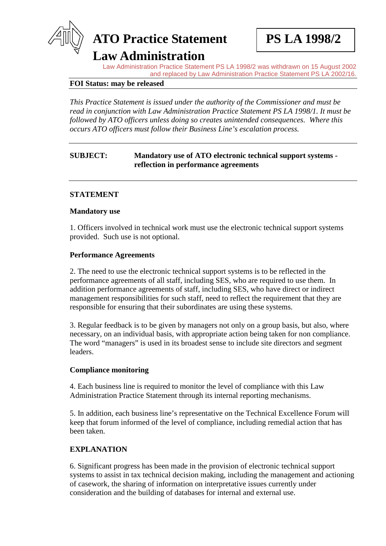# **ATO Practice Statement PS LA 1998/2**

**Law Administration**

Law Administration Practice Statement PS LA 1998/2 was withdrawn on 15 August 2002 and replaced by Law Administration Practice Statement PS LA 2002/16.

### **FOI Status: may be released**

*This Practice Statement is issued under the authority of the Commissioner and must be read in conjunction with Law Administration Practice Statement PS LA 1998/1. It must be followed by ATO officers unless doing so creates unintended consequences. Where this occurs ATO officers must follow their Business Line's escalation process.* 

# **SUBJECT: Mandatory use of ATO electronic technical support systems reflection in performance agreements**

# **STATEMENT**

#### **Mandatory use**

1. Officers involved in technical work must use the electronic technical support systems provided. Such use is not optional.

#### **Performance Agreements**

2. The need to use the electronic technical support systems is to be reflected in the performance agreements of all staff, including SES, who are required to use them. In addition performance agreements of staff, including SES, who have direct or indirect management responsibilities for such staff, need to reflect the requirement that they are responsible for ensuring that their subordinates are using these systems.

3. Regular feedback is to be given by managers not only on a group basis, but also, where necessary, on an individual basis, with appropriate action being taken for non compliance. The word "managers" is used in its broadest sense to include site directors and segment leaders.

#### **Compliance monitoring**

4. Each business line is required to monitor the level of compliance with this Law Administration Practice Statement through its internal reporting mechanisms.

5. In addition, each business line's representative on the Technical Excellence Forum will keep that forum informed of the level of compliance, including remedial action that has been taken.

#### **EXPLANATION**

6. Significant progress has been made in the provision of electronic technical support systems to assist in tax technical decision making, including the management and actioning of casework, the sharing of information on interpretative issues currently under consideration and the building of databases for internal and external use.